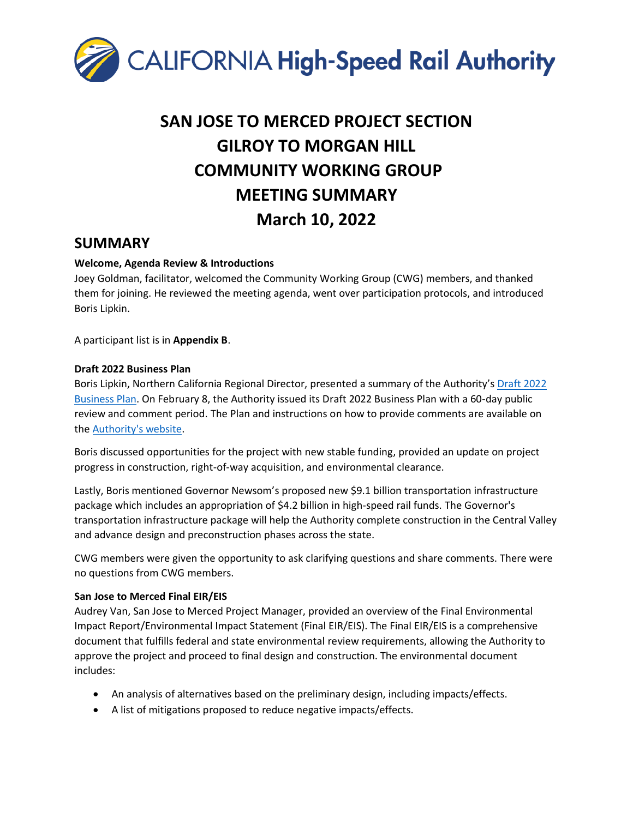

# **SAN JOSE TO MERCED PROJECT SECTION GILROY TO MORGAN HILL COMMUNITY WORKING GROUP MEETING SUMMARY March 10, 2022**

### **SUMMARY**

#### **Welcome, Agenda Review & Introductions**

Joey Goldman, facilitator, welcomed the Community Working Group (CWG) members, and thanked them for joining. He reviewed the meeting agenda, went over participation protocols, and introduced Boris Lipkin.

A participant list is in **Appendix B**.

#### **Draft 2022 Business Plan**

Boris Lipkin, Northern California Regional Director, presented a summary of the Authority's [Draft 2022](https://hsr.ca.gov/about/high-speed-rail-business-plans/2022-business-plan/)  [Business Plan.](https://hsr.ca.gov/about/high-speed-rail-business-plans/2022-business-plan/) On February 8, the Authority issued its Draft 2022 Business Plan with a 60-day public review and comment period. The Plan and instructions on how to provide comments are available on th[e Authority's website.](https://hsr.ca.gov/about/high-speed-rail-business-plans/draft-2022-business-plan-comment-form/)

Boris discussed opportunities for the project with new stable funding, provided an update on project progress in construction, right-of-way acquisition, and environmental clearance.

Lastly, Boris mentioned Governor Newsom's proposed new \$9.1 billion transportation infrastructure package which includes an appropriation of \$4.2 billion in high-speed rail funds. The Governor's transportation infrastructure package will help the Authority complete construction in the Central Valley and advance design and preconstruction phases across the state.

CWG members were given the opportunity to ask clarifying questions and share comments. There were no questions from CWG members.

#### **San Jose to Merced Final EIR/EIS**

Audrey Van, San Jose to Merced Project Manager, provided an overview of the Final Environmental Impact Report/Environmental Impact Statement (Final EIR/EIS). The Final EIR/EIS is a comprehensive document that fulfills federal and state environmental review requirements, allowing the Authority to approve the project and proceed to final design and construction. The environmental document includes:

- An analysis of alternatives based on the preliminary design, including impacts/effects.
- A list of mitigations proposed to reduce negative impacts/effects.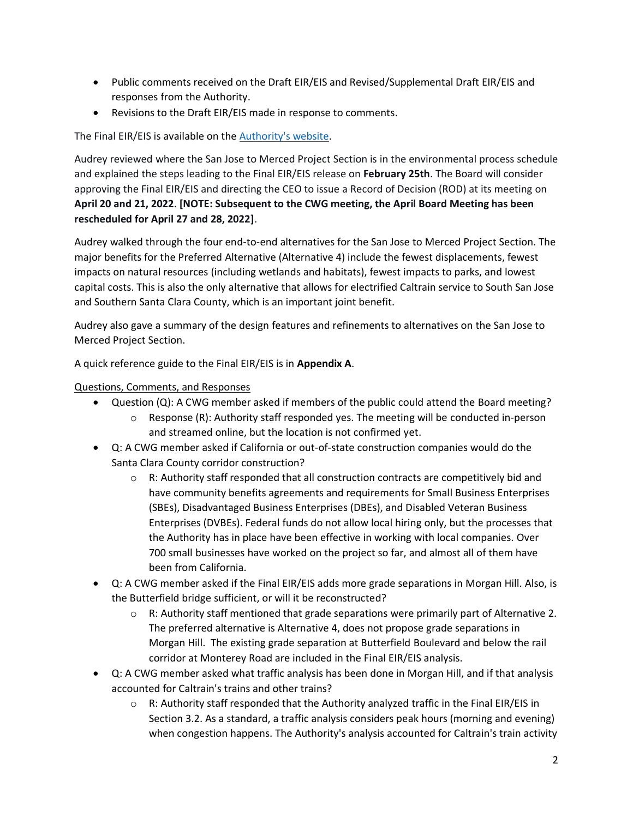- Public comments received on the Draft EIR/EIS and Revised/Supplemental Draft EIR/EIS and responses from the Authority.
- Revisions to the Draft EIR/EIS made in response to comments.

The Final EIR/EIS is available on th[e Authority's website.](https://hsr.ca.gov/programs/environmental-planning/project-section-environmental-documents-tier-2/san-jose-to-merced-project-section-final-environmental-impact-report-environmental-impact-statement/)

Audrey reviewed where the San Jose to Merced Project Section is in the environmental process schedule and explained the steps leading to the Final EIR/EIS release on **February 25th**. The Board will consider approving the Final EIR/EIS and directing the CEO to issue a Record of Decision (ROD) at its meeting on **April 20 and 21, 2022**. **[NOTE: Subsequent to the CWG meeting, the April Board Meeting has been rescheduled for April 27 and 28, 2022]**.

Audrey walked through the four end-to-end alternatives for the San Jose to Merced Project Section. The major benefits for the Preferred Alternative (Alternative 4) include the fewest displacements, fewest impacts on natural resources (including wetlands and habitats), fewest impacts to parks, and lowest capital costs. This is also the only alternative that allows for electrified Caltrain service to South San Jose and Southern Santa Clara County, which is an important joint benefit.

Audrey also gave a summary of the design features and refinements to alternatives on the San Jose to Merced Project Section.

A quick reference guide to the Final EIR/EIS is in **Appendix A**.

#### Questions, Comments, and Responses

- Question (Q): A CWG member asked if members of the public could attend the Board meeting?
	- $\circ$  Response (R): Authority staff responded yes. The meeting will be conducted in-person and streamed online, but the location is not confirmed yet.
- Q: A CWG member asked if California or out-of-state construction companies would do the Santa Clara County corridor construction?
	- $\circ$  R: Authority staff responded that all construction contracts are competitively bid and have community benefits agreements and requirements for Small Business Enterprises (SBEs), Disadvantaged Business Enterprises (DBEs), and Disabled Veteran Business Enterprises (DVBEs). Federal funds do not allow local hiring only, but the processes that the Authority has in place have been effective in working with local companies. Over 700 small businesses have worked on the project so far, and almost all of them have been from California.
- Q: A CWG member asked if the Final EIR/EIS adds more grade separations in Morgan Hill. Also, is the Butterfield bridge sufficient, or will it be reconstructed?
	- $\circ$  R: Authority staff mentioned that grade separations were primarily part of Alternative 2. The preferred alternative is Alternative 4, does not propose grade separations in Morgan Hill. The existing grade separation at Butterfield Boulevard and below the rail corridor at Monterey Road are included in the Final EIR/EIS analysis.
- Q: A CWG member asked what traffic analysis has been done in Morgan Hill, and if that analysis accounted for Caltrain's trains and other trains?
	- o R: Authority staff responded that the Authority analyzed traffic in the Final EIR/EIS in Section 3.2. As a standard, a traffic analysis considers peak hours (morning and evening) when congestion happens. The Authority's analysis accounted for Caltrain's train activity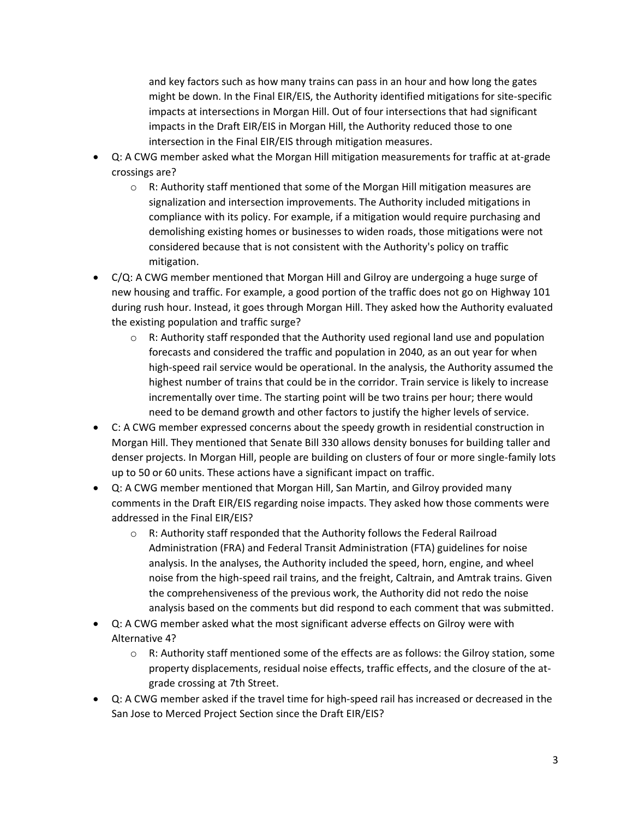and key factors such as how many trains can pass in an hour and how long the gates might be down. In the Final EIR/EIS, the Authority identified mitigations for site-specific impacts at intersections in Morgan Hill. Out of four intersections that had significant impacts in the Draft EIR/EIS in Morgan Hill, the Authority reduced those to one intersection in the Final EIR/EIS through mitigation measures.

- Q: A CWG member asked what the Morgan Hill mitigation measurements for traffic at at-grade crossings are?
	- $\circ$  R: Authority staff mentioned that some of the Morgan Hill mitigation measures are signalization and intersection improvements. The Authority included mitigations in compliance with its policy. For example, if a mitigation would require purchasing and demolishing existing homes or businesses to widen roads, those mitigations were not considered because that is not consistent with the Authority's policy on traffic mitigation.
- C/Q: A CWG member mentioned that Morgan Hill and Gilroy are undergoing a huge surge of new housing and traffic. For example, a good portion of the traffic does not go on Highway 101 during rush hour. Instead, it goes through Morgan Hill. They asked how the Authority evaluated the existing population and traffic surge?
	- $\circ$  R: Authority staff responded that the Authority used regional land use and population forecasts and considered the traffic and population in 2040, as an out year for when high-speed rail service would be operational. In the analysis, the Authority assumed the highest number of trains that could be in the corridor. Train service is likely to increase incrementally over time. The starting point will be two trains per hour; there would need to be demand growth and other factors to justify the higher levels of service.
- C: A CWG member expressed concerns about the speedy growth in residential construction in Morgan Hill. They mentioned that Senate Bill 330 allows density bonuses for building taller and denser projects. In Morgan Hill, people are building on clusters of four or more single-family lots up to 50 or 60 units. These actions have a significant impact on traffic.
- Q: A CWG member mentioned that Morgan Hill, San Martin, and Gilroy provided many comments in the Draft EIR/EIS regarding noise impacts. They asked how those comments were addressed in the Final EIR/EIS?
	- o R: Authority staff responded that the Authority follows the Federal Railroad Administration (FRA) and Federal Transit Administration (FTA) guidelines for noise analysis. In the analyses, the Authority included the speed, horn, engine, and wheel noise from the high-speed rail trains, and the freight, Caltrain, and Amtrak trains. Given the comprehensiveness of the previous work, the Authority did not redo the noise analysis based on the comments but did respond to each comment that was submitted.
- Q: A CWG member asked what the most significant adverse effects on Gilroy were with Alternative 4?
	- $\circ$  R: Authority staff mentioned some of the effects are as follows: the Gilroy station, some property displacements, residual noise effects, traffic effects, and the closure of the atgrade crossing at 7th Street.
- Q: A CWG member asked if the travel time for high-speed rail has increased or decreased in the San Jose to Merced Project Section since the Draft EIR/EIS?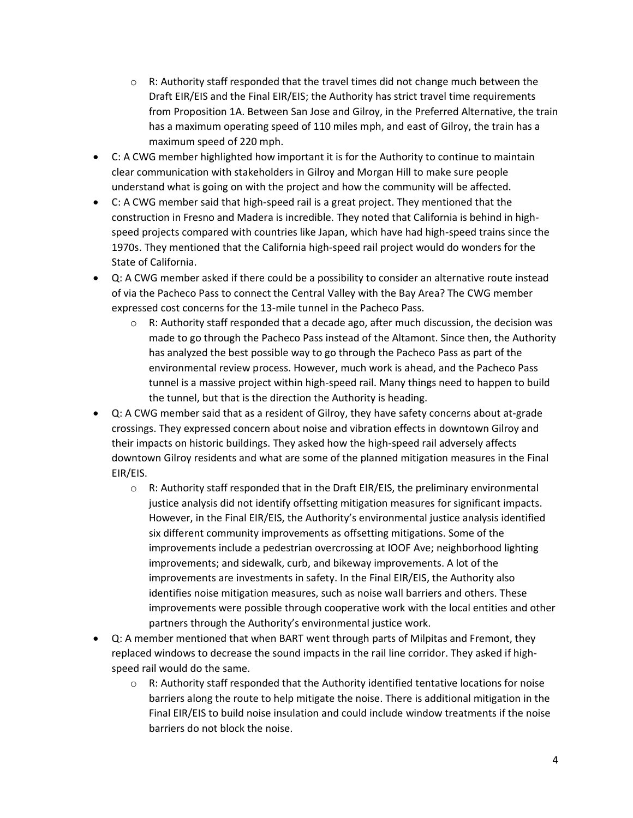- $\circ$  R: Authority staff responded that the travel times did not change much between the Draft EIR/EIS and the Final EIR/EIS; the Authority has strict travel time requirements from Proposition 1A. Between San Jose and Gilroy, in the Preferred Alternative, the train has a maximum operating speed of 110 miles mph, and east of Gilroy, the train has a maximum speed of 220 mph.
- C: A CWG member highlighted how important it is for the Authority to continue to maintain clear communication with stakeholders in Gilroy and Morgan Hill to make sure people understand what is going on with the project and how the community will be affected.
- C: A CWG member said that high-speed rail is a great project. They mentioned that the construction in Fresno and Madera is incredible. They noted that California is behind in highspeed projects compared with countries like Japan, which have had high-speed trains since the 1970s. They mentioned that the California high-speed rail project would do wonders for the State of California.
- Q: A CWG member asked if there could be a possibility to consider an alternative route instead of via the Pacheco Pass to connect the Central Valley with the Bay Area? The CWG member expressed cost concerns for the 13-mile tunnel in the Pacheco Pass.
	- $\circ$  R: Authority staff responded that a decade ago, after much discussion, the decision was made to go through the Pacheco Pass instead of the Altamont. Since then, the Authority has analyzed the best possible way to go through the Pacheco Pass as part of the environmental review process. However, much work is ahead, and the Pacheco Pass tunnel is a massive project within high-speed rail. Many things need to happen to build the tunnel, but that is the direction the Authority is heading.
- Q: A CWG member said that as a resident of Gilroy, they have safety concerns about at-grade crossings. They expressed concern about noise and vibration effects in downtown Gilroy and their impacts on historic buildings. They asked how the high-speed rail adversely affects downtown Gilroy residents and what are some of the planned mitigation measures in the Final EIR/EIS.
	- $\circ$  R: Authority staff responded that in the Draft EIR/EIS, the preliminary environmental justice analysis did not identify offsetting mitigation measures for significant impacts. However, in the Final EIR/EIS, the Authority's environmental justice analysis identified six different community improvements as offsetting mitigations. Some of the improvements include a pedestrian overcrossing at IOOF Ave; neighborhood lighting improvements; and sidewalk, curb, and bikeway improvements. A lot of the improvements are investments in safety. In the Final EIR/EIS, the Authority also identifies noise mitigation measures, such as noise wall barriers and others. These improvements were possible through cooperative work with the local entities and other partners through the Authority's environmental justice work.
- Q: A member mentioned that when BART went through parts of Milpitas and Fremont, they replaced windows to decrease the sound impacts in the rail line corridor. They asked if highspeed rail would do the same.
	- $\circ$  R: Authority staff responded that the Authority identified tentative locations for noise barriers along the route to help mitigate the noise. There is additional mitigation in the Final EIR/EIS to build noise insulation and could include window treatments if the noise barriers do not block the noise.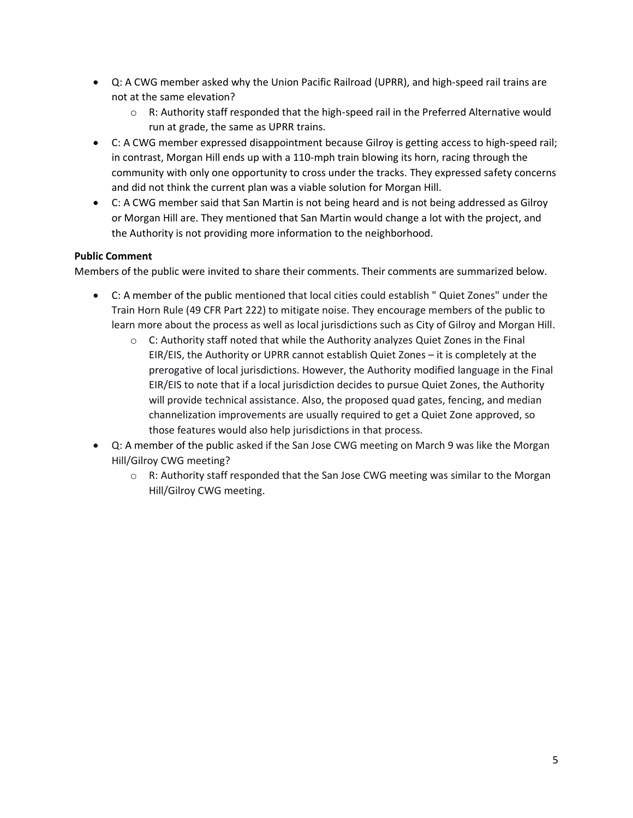- Q: A CWG member asked why the Union Pacific Railroad (UPRR), and high-speed rail trains are not at the same elevation?
	- $\circ$  R: Authority staff responded that the high-speed rail in the Preferred Alternative would run at grade, the same as UPRR trains.
- C: A CWG member expressed disappointment because Gilroy is getting access to high-speed rail; in contrast, Morgan Hill ends up with a 110-mph train blowing its horn, racing through the community with only one opportunity to cross under the tracks. They expressed safety concerns and did not think the current plan was a viable solution for Morgan Hill.
- C: A CWG member said that San Martin is not being heard and is not being addressed as Gilroy or Morgan Hill are. They mentioned that San Martin would change a lot with the project, and the Authority is not providing more information to the neighborhood.

#### **Public Comment**

Members of the public were invited to share their comments. Their comments are summarized below.

- C: A member of the public mentioned that local cities could establish " Quiet Zones" under the Train Horn Rule (49 CFR Part 222) to mitigate noise. They encourage members of the public to learn more about the process as well as local jurisdictions such as City of Gilroy and Morgan Hill.
	- $\circ$  C: Authority staff noted that while the Authority analyzes Quiet Zones in the Final EIR/EIS, the Authority or UPRR cannot establish Quiet Zones – it is completely at the prerogative of local jurisdictions. However, the Authority modified language in the Final EIR/EIS to note that if a local jurisdiction decides to pursue Quiet Zones, the Authority will provide technical assistance. Also, the proposed quad gates, fencing, and median channelization improvements are usually required to get a Quiet Zone approved, so those features would also help jurisdictions in that process.
- Q: A member of the public asked if the San Jose CWG meeting on March 9 was like the Morgan Hill/Gilroy CWG meeting?
	- $\circ$  R: Authority staff responded that the San Jose CWG meeting was similar to the Morgan Hill/Gilroy CWG meeting.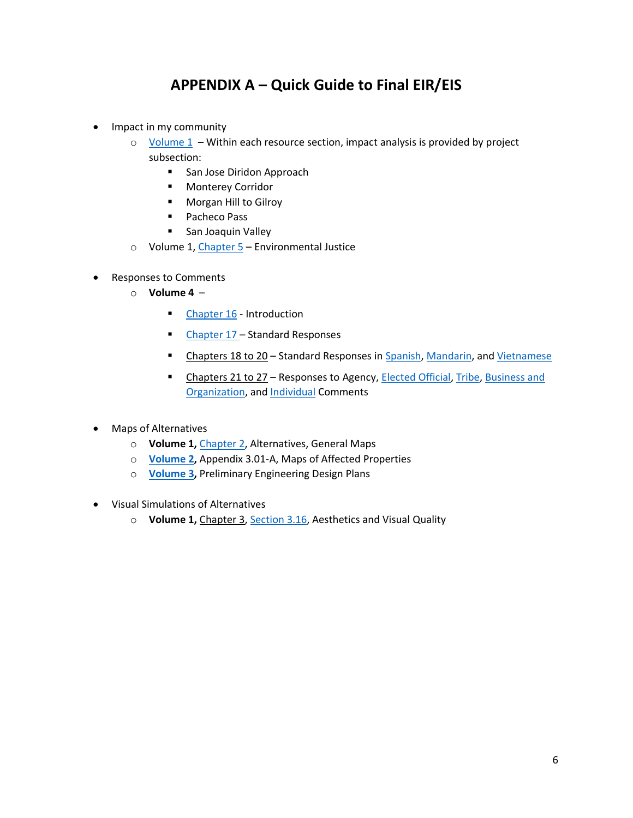### **APPENDIX A – Quick Guide to Final EIR/EIS**

- Impact in my community
	- $\circ$  [Volume 1](https://hsr.ca.gov/wp-content/uploads/2022/02/Final_EIRS_JM_V1-05_Table_of_Contents_Volume_1.pdf)  Within each resource section, impact analysis is provided by project subsection:
		- San Jose Diridon Approach
		- Monterey Corridor
		- Morgan Hill to Gilroy
		- Pacheco Pass
		- San Joaquin Valley
	- o Volume 1, [Chapter 5](https://hsr.ca.gov/wp-content/uploads/2022/02/Final_EIRS_JM_V1-29_CH_5_Environmental_Justice.pdf) Environmental Justice
- Responses to Comments
	- o **Volume 4** 
		- [Chapter 16](https://hsr.ca.gov/wp-content/uploads/2022/02/Final_EIRS_JM_V4-01_CH_16_Introduction.pdf) Introduction
		- [Chapter 17](https://hsr.ca.gov/wp-content/uploads/2022/02/Final_EIRS_JM_V4-02_CH_17_Standard_Responses.pdf)  Standard Responses
		- Chapters 18 to 20 Standard Responses in [Spanish,](https://hsr.ca.gov/wp-content/uploads/2022/02/Final_EIRS_JM_V4-03_CH_18_Standard_Responses_Spanish.pdf) [Mandarin,](https://hsr.ca.gov/wp-content/uploads/2022/02/Final_EIRS_JM_V4-04_CH_19_Standard_Responses_Mandarin.pdf) and [Vietnamese](https://hsr.ca.gov/wp-content/uploads/2022/02/Final_EIRS_JM_V4-05_CH_20_Standard_Responses_Vietnamese.pdf)
		- Chapters 21 to 27 Responses to Agency, [Elected Official,](https://hsr.ca.gov/wp-content/uploads/2022/02/Final_EIRS_JM_V4-08_CH_23_Elected_Official_Comments.pdf) [Tribe,](https://hsr.ca.gov/wp-content/uploads/2022/02/Final_EIRS_JM_V4-10_CH_25_Tribe_Comments.pdf) Business and [Organization,](https://hsr.ca.gov/wp-content/uploads/2022/02/Final_EIRS_JM_V4-11_CH_26_Business_and_Organization_Comments.pdf) and [Individual](https://hsr.ca.gov/wp-content/uploads/2022/02/Final_EIRS_JM_V4-12_CH_27_Individual_Comments.pdf) Comments
- Maps of Alternatives
	- o **Volume 1,** [Chapter 2,](https://hsr.ca.gov/wp-content/uploads/2022/02/Final_EIRS_JM_V1-08_CH_2_Alternatives.pdf) Alternatives, General Maps
	- o **[Volume 2,](https://hsr.ca.gov/wp-content/uploads/2022/02/Final_EIRS_JM_V2-02_TOC_Volume_2.pdf)** Appendix 3.01-A, Maps of Affected Properties
	- o **[Volume 3,](https://hsr.ca.gov/wp-content/uploads/2022/02/Final_EIRS_JM_V3-02_General_Information_Volume_3.pdf)** Preliminary Engineering Design Plans
- Visual Simulations of Alternatives
	- o **Volume 1,** Chapter 3, [Section 3.16,](https://hsr.ca.gov/wp-content/uploads/2022/02/Final_EIRS_JM_V1-24_CH_3.16_Aesthetics_Visual_Quality.pdf) Aesthetics and Visual Quality